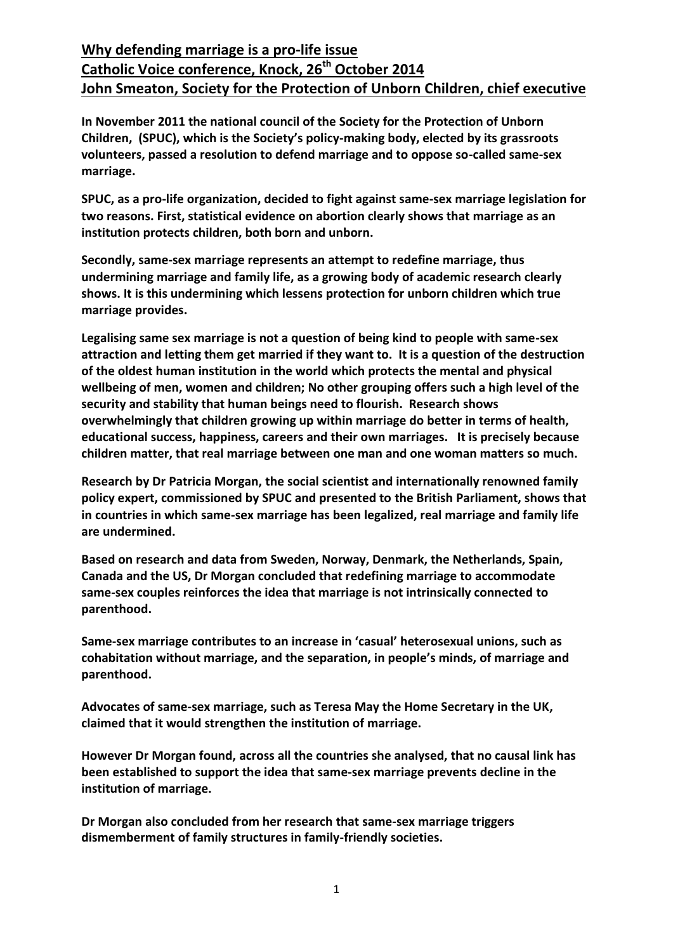**In November 2011 the national council of the Society for the Protection of Unborn Children, (SPUC), which is the Society's policy-making body, elected by its grassroots volunteers, passed a resolution to defend marriage and to oppose so-called same-sex marriage.** 

**SPUC, as a pro-life organization, decided to fight against same-sex marriage legislation for two reasons. First, statistical evidence on abortion clearly shows that marriage as an institution protects children, both born and unborn.** 

**Secondly, same-sex marriage represents an attempt to redefine marriage, thus undermining marriage and family life, as a growing body of academic research clearly shows. It is this undermining which lessens protection for unborn children which true marriage provides.**

**Legalising same sex marriage is not a question of being kind to people with same-sex attraction and letting them get married if they want to. It is a question of the destruction of the oldest human institution in the world which protects the mental and physical wellbeing of men, women and children; No other grouping offers such a high level of the security and stability that human beings need to flourish. Research shows overwhelmingly that children growing up within marriage do better in terms of health, educational success, happiness, careers and their own marriages. It is precisely because children matter, that real marriage between one man and one woman matters so much.** 

**Research by Dr Patricia Morgan, the social scientist and internationally renowned family policy expert, commissioned by SPUC and presented to the British Parliament, shows that in countries in which same-sex marriage has been legalized, real marriage and family life are undermined.** 

**Based on research and data from Sweden, Norway, Denmark, the Netherlands, Spain, Canada and the US, Dr Morgan concluded that redefining marriage to accommodate same-sex couples reinforces the idea that marriage is not intrinsically connected to parenthood.**

**Same-sex marriage contributes to an increase in 'casual' heterosexual unions, such as cohabitation without marriage, and the separation, in people's minds, of marriage and parenthood.** 

**Advocates of same-sex marriage, such as Teresa May the Home Secretary in the UK, claimed that it would strengthen the institution of marriage.** 

**However Dr Morgan found, across all the countries she analysed, that no causal link has been established to support the idea that same-sex marriage prevents decline in the institution of marriage.**

**Dr Morgan also concluded from her research that same-sex marriage triggers dismemberment of family structures in family-friendly societies.**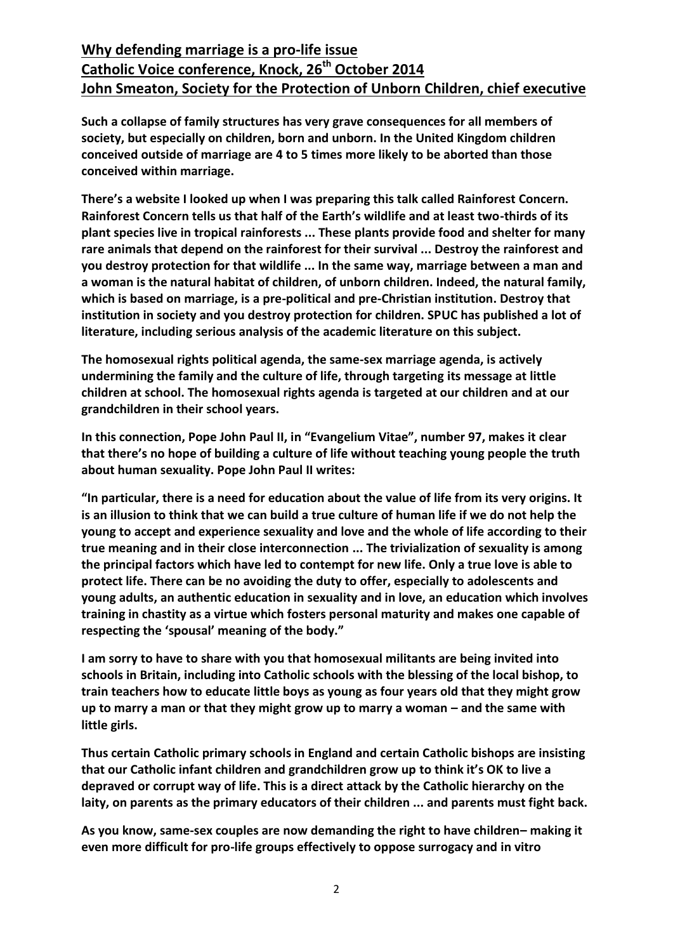**Such a collapse of family structures has very grave consequences for all members of society, but especially on children, born and unborn. In the United Kingdom children conceived outside of marriage are 4 to 5 times more likely to be aborted than those conceived within marriage.**

**There's a website I looked up when I was preparing this talk called Rainforest Concern. Rainforest Concern tells us that half of the Earth's wildlife and at least two-thirds of its plant species live in tropical rainforests ... These plants provide food and shelter for many rare animals that depend on the rainforest for their survival ... Destroy the rainforest and you destroy protection for that wildlife ... In the same way, marriage between a man and a woman is the natural habitat of children, of unborn children. Indeed, the natural family, which is based on marriage, is a pre-political and pre-Christian institution. Destroy that institution in society and you destroy protection for children. SPUC has published a lot of literature, including serious analysis of the academic literature on this subject.**

**The homosexual rights political agenda, the same-sex marriage agenda, is actively undermining the family and the culture of life, through targeting its message at little children at school. The homosexual rights agenda is targeted at our children and at our grandchildren in their school years.** 

**In this connection, Pope John Paul II, in "Evangelium Vitae", number 97, makes it clear that there's no hope of building a culture of life without teaching young people the truth about human sexuality. Pope John Paul II writes:**

**"In particular, there is a need for education about the value of life from its very origins. It is an illusion to think that we can build a true culture of human life if we do not help the young to accept and experience sexuality and love and the whole of life according to their true meaning and in their close interconnection ... The trivialization of sexuality is among the principal factors which have led to contempt for new life. Only a true love is able to protect life. There can be no avoiding the duty to offer, especially to adolescents and young adults, an authentic education in sexuality and in love, an education which involves training in chastity as a virtue which fosters personal maturity and makes one capable of respecting the 'spousal' meaning of the body."**

**I am sorry to have to share with you that homosexual militants are being invited into schools in Britain, including into Catholic schools with the blessing of the local bishop, to train teachers how to educate little boys as young as four years old that they might grow**  up to marry a man or that they might grow up to marry a woman – and the same with **little girls.** 

**Thus certain Catholic primary schools in England and certain Catholic bishops are insisting that our Catholic infant children and grandchildren grow up to think it's OK to live a depraved or corrupt way of life. This is a direct attack by the Catholic hierarchy on the laity, on parents as the primary educators of their children ... and parents must fight back.**

**As you know, same-sex couples are now demanding the right to have children– making it even more difficult for pro-life groups effectively to oppose surrogacy and in vitro**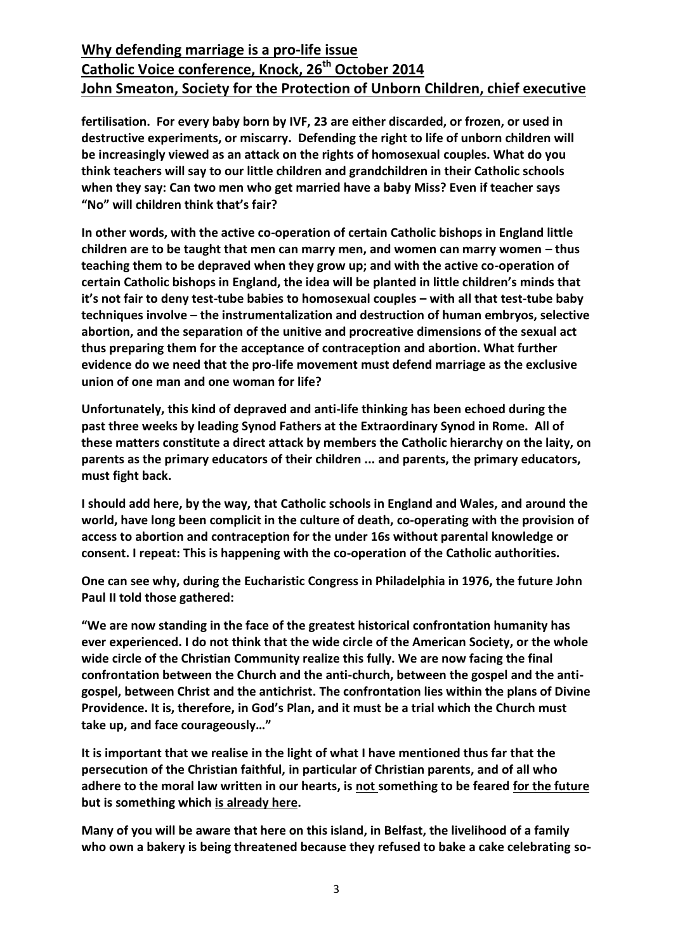**fertilisation. For every baby born by IVF, 23 are either discarded, or frozen, or used in destructive experiments, or miscarry. Defending the right to life of unborn children will be increasingly viewed as an attack on the rights of homosexual couples. What do you think teachers will say to our little children and grandchildren in their Catholic schools when they say: Can two men who get married have a baby Miss? Even if teacher says "No" will children think that's fair?** 

**In other words, with the active co-operation of certain Catholic bishops in England little children are to be taught that men can marry men, and women can marry women – thus teaching them to be depraved when they grow up; and with the active co-operation of certain Catholic bishops in England, the idea will be planted in little children's minds that it's not fair to deny test-tube babies to homosexual couples – with all that test-tube baby techniques involve – the instrumentalization and destruction of human embryos, selective abortion, and the separation of the unitive and procreative dimensions of the sexual act thus preparing them for the acceptance of contraception and abortion. What further evidence do we need that the pro-life movement must defend marriage as the exclusive union of one man and one woman for life?**

**Unfortunately, this kind of depraved and anti-life thinking has been echoed during the past three weeks by leading Synod Fathers at the Extraordinary Synod in Rome. All of these matters constitute a direct attack by members the Catholic hierarchy on the laity, on parents as the primary educators of their children ... and parents, the primary educators, must fight back.**

**I should add here, by the way, that Catholic schools in England and Wales, and around the world, have long been complicit in the culture of death, co-operating with the provision of access to abortion and contraception for the under 16s without parental knowledge or consent. I repeat: This is happening with the co-operation of the Catholic authorities.**

**One can see why, during the Eucharistic Congress in Philadelphia in 1976, the future John Paul II told those gathered:**

**"We are now standing in the face of the greatest historical confrontation humanity has ever experienced. I do not think that the wide circle of the American Society, or the whole wide circle of the Christian Community realize this fully. We are now facing the final confrontation between the Church and the anti-church, between the gospel and the antigospel, between Christ and the antichrist. The confrontation lies within the plans of Divine Providence. It is, therefore, in God's Plan, and it must be a trial which the Church must take up, and face courageously…"**

**It is important that we realise in the light of what I have mentioned thus far that the persecution of the Christian faithful, in particular of Christian parents, and of all who adhere to the moral law written in our hearts, is not something to be feared for the future but is something which is already here.**

**Many of you will be aware that here on this island, in Belfast, the livelihood of a family who own a bakery is being threatened because they refused to bake a cake celebrating so-**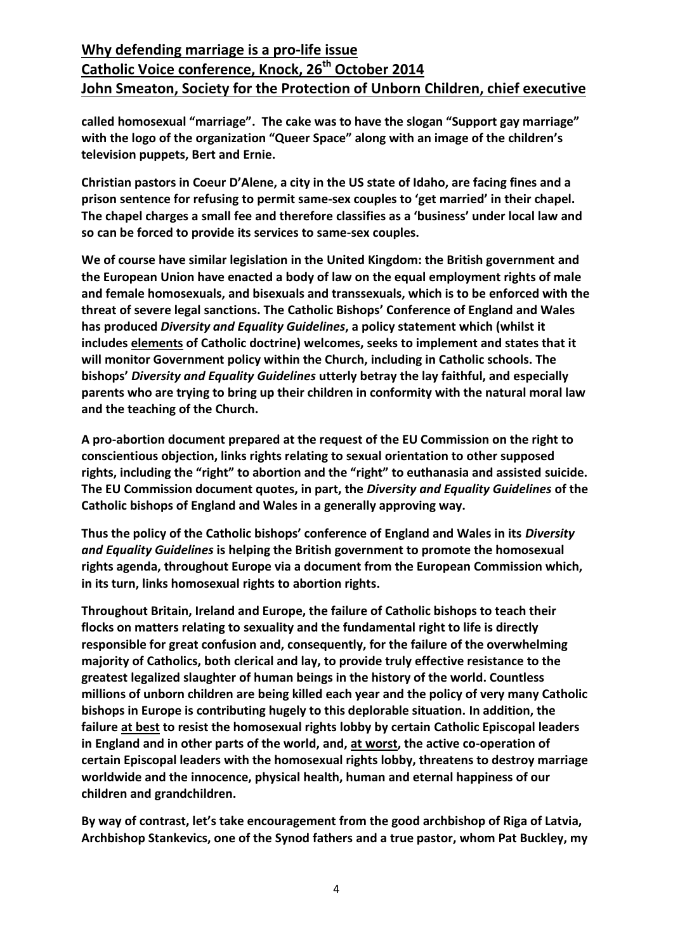**called homosexual "marriage". The cake was to have the slogan "Support gay marriage" with the logo of the organization "Queer Space" along with an image of the children's television puppets, Bert and Ernie.**

**Christian pastors in Coeur D'Alene, a city in the US state of Idaho, are facing fines and a prison sentence for refusing to permit same-sex couples to 'get married' in their chapel. The chapel charges a small fee and therefore classifies as a 'business' under local law and so can be forced to provide its services to same-sex couples.**

**We of course have similar legislation in the United Kingdom: the British government and the European Union have enacted a body of law on the equal employment rights of male and female homosexuals, and bisexuals and transsexuals, which is to be enforced with the threat of severe legal sanctions. The Catholic Bishops' Conference of England and Wales has produced** *Diversity and Equality Guidelines***, a policy statement which (whilst it includes elements of Catholic doctrine) welcomes, seeks to implement and states that it will monitor Government policy within the Church, including in Catholic schools. The bishops'** *Diversity and Equality Guidelines* **utterly betray the lay faithful, and especially parents who are trying to bring up their children in conformity with the natural moral law and the teaching of the Church.**

**A pro-abortion document prepared at the request of the EU Commission on the right to conscientious objection, links rights relating to sexual orientation to other supposed rights, including the "right" to abortion and the "right" to euthanasia and assisted suicide. The EU Commission document quotes, in part, the** *Diversity and Equality Guidelines* **of the Catholic bishops of England and Wales in a generally approving way.** 

**Thus the policy of the Catholic bishops' conference of England and Wales in its** *Diversity and Equality Guidelines* **is helping the British government to promote the homosexual rights agenda, throughout Europe via a document from the European Commission which, in its turn, links homosexual rights to abortion rights.**

**Throughout Britain, Ireland and Europe, the failure of Catholic bishops to teach their flocks on matters relating to sexuality and the fundamental right to life is directly responsible for great confusion and, consequently, for the failure of the overwhelming majority of Catholics, both clerical and lay, to provide truly effective resistance to the greatest legalized slaughter of human beings in the history of the world. Countless millions of unborn children are being killed each year and the policy of very many Catholic bishops in Europe is contributing hugely to this deplorable situation. In addition, the failure at best to resist the homosexual rights lobby by certain Catholic Episcopal leaders in England and in other parts of the world, and, at worst, the active co-operation of certain Episcopal leaders with the homosexual rights lobby, threatens to destroy marriage worldwide and the innocence, physical health, human and eternal happiness of our children and grandchildren.**

**By way of contrast, let's take encouragement from the good archbishop of Riga of Latvia, Archbishop Stankevics, one of the Synod fathers and a true pastor, whom Pat Buckley, my**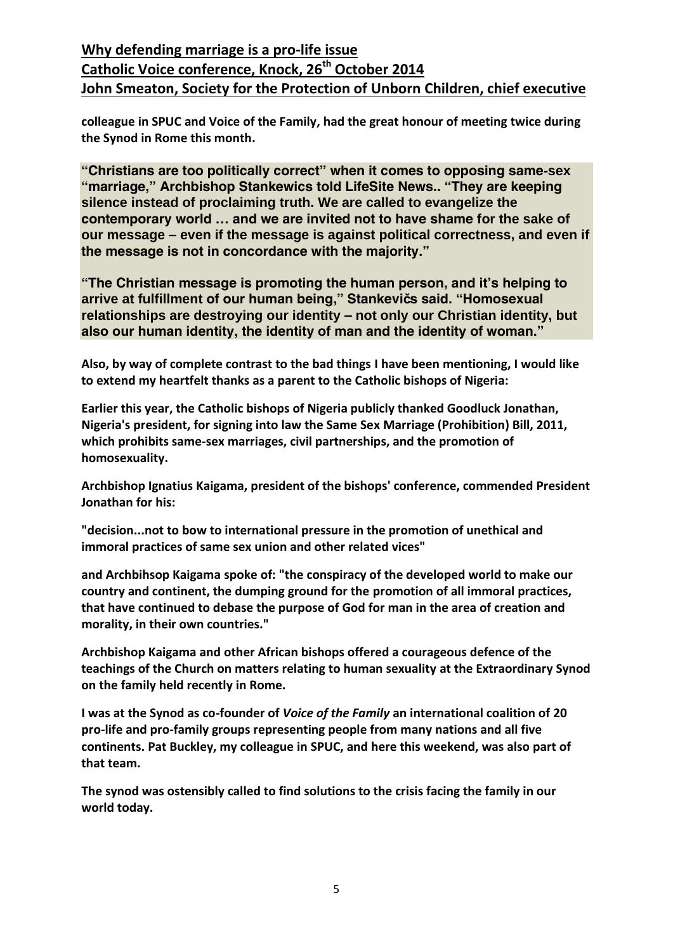**colleague in SPUC and Voice of the Family, had the great honour of meeting twice during the Synod in Rome this month.**

**"Christians are too politically correct" when it comes to opposing same-sex "marriage," Archbishop Stankewics told LifeSite News.. "They are keeping silence instead of proclaiming truth. We are called to evangelize the contemporary world … and we are invited not to have shame for the sake of our message – even if the message is against political correctness, and even if the message is not in concordance with the majority."**

**"The Christian message is promoting the human person, and it's helping to arrive at fulfillment of our human being," Stankevičs said. "Homosexual relationships are destroying our identity – not only our Christian identity, but also our human identity, the identity of man and the identity of woman."**

**Also, by way of complete contrast to the bad things I have been mentioning, I would like to extend my heartfelt thanks as a parent to the Catholic bishops of Nigeria:**

**Earlier this year, the Catholic bishops of Nigeria publicly thanked Goodluck Jonathan, Nigeria's president, for signing into law the Same Sex Marriage (Prohibition) Bill, 2011, which prohibits same-sex marriages, civil partnerships, and the promotion of homosexuality.** 

**Archbishop Ignatius Kaigama, president of the bishops' conference, commended President Jonathan for his:**

**"decision...not to bow to international pressure in the promotion of unethical and immoral practices of same sex union and other related vices"**

**and Archbihsop Kaigama spoke of: "the conspiracy of the developed world to make our country and continent, the dumping ground for the promotion of all immoral practices, that have continued to debase the purpose of God for man in the area of creation and morality, in their own countries."**

**Archbishop Kaigama and other African bishops offered a courageous defence of the teachings of the Church on matters relating to human sexuality at the Extraordinary Synod on the family held recently in Rome.** 

**I was at the Synod as co-founder of** *Voice of the Family* **an international coalition of 20 pro-life and pro-family groups representing people from many nations and all five continents. Pat Buckley, my colleague in SPUC, and here this weekend, was also part of that team.**

**The synod was ostensibly called to find solutions to the crisis facing the family in our world today.**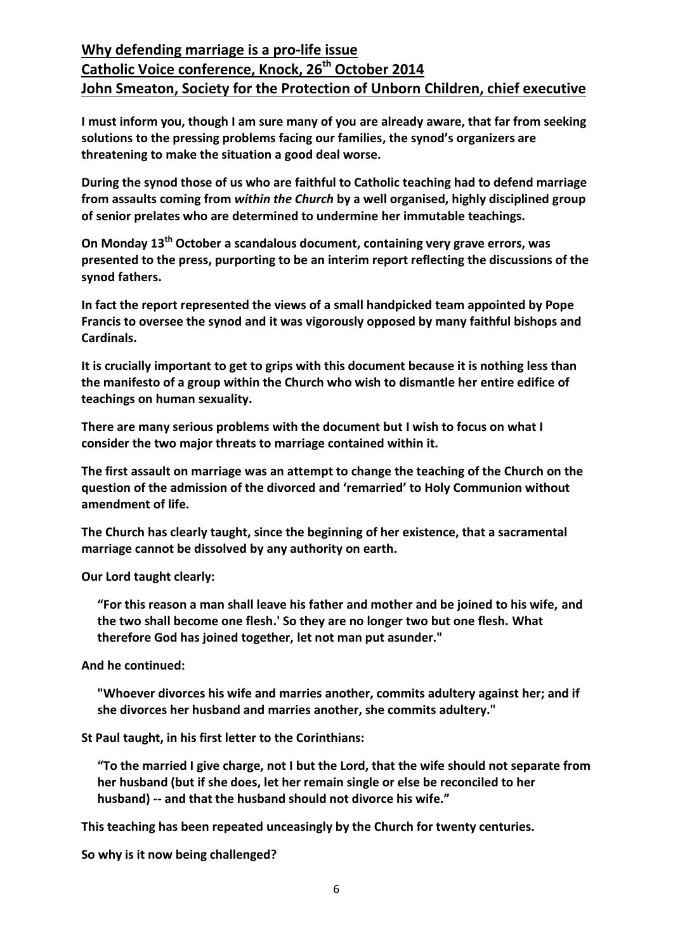**I must inform you, though I am sure many of you are already aware, that far from seeking solutions to the pressing problems facing our families, the synod's organizers are threatening to make the situation a good deal worse.**

**During the synod those of us who are faithful to Catholic teaching had to defend marriage from assaults coming from** *within the Church* **by a well organised, highly disciplined group of senior prelates who are determined to undermine her immutable teachings.**

**On Monday 13th October a scandalous document, containing very grave errors, was presented to the press, purporting to be an interim report reflecting the discussions of the synod fathers.**

**In fact the report represented the views of a small handpicked team appointed by Pope Francis to oversee the synod and it was vigorously opposed by many faithful bishops and Cardinals.**

**It is crucially important to get to grips with this document because it is nothing less than the manifesto of a group within the Church who wish to dismantle her entire edifice of teachings on human sexuality.**

**There are many serious problems with the document but I wish to focus on what I consider the two major threats to marriage contained within it.**

**The first assault on marriage was an attempt to change the teaching of the Church on the question of the admission of the divorced and 'remarried' to Holy Communion without amendment of life.** 

**The Church has clearly taught, since the beginning of her existence, that a sacramental marriage cannot be dissolved by any authority on earth.**

**Our Lord taught clearly:**

**"For this reason a man shall leave his father and mother and be joined to his wife, and the two shall become one flesh.' So they are no longer two but one flesh. What therefore God has joined together, let not man put asunder."**

**And he continued:**

**"Whoever divorces his wife and marries another, commits adultery against her; and if she divorces her husband and marries another, she commits adultery."**

**St Paul taught, in his first letter to the Corinthians:**

**"To the married I give charge, not I but the Lord, that the wife should not separate from her husband (but if she does, let her remain single or else be reconciled to her husband) -- and that the husband should not divorce his wife."**

**This teaching has been repeated unceasingly by the Church for twenty centuries.**

**So why is it now being challenged?**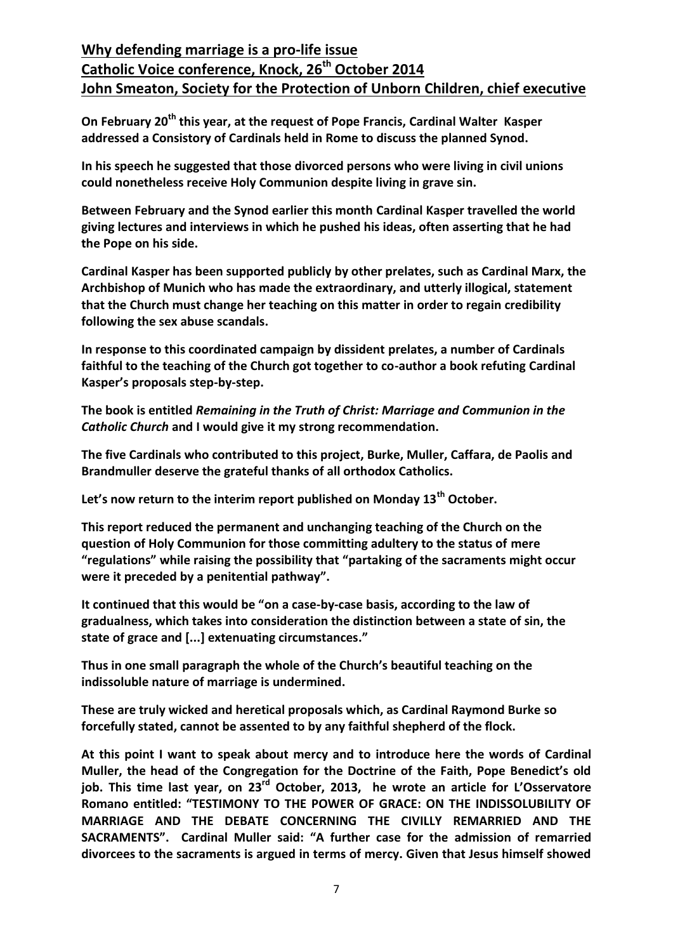**On February 20th this year, at the request of Pope Francis, Cardinal Walter Kasper addressed a Consistory of Cardinals held in Rome to discuss the planned Synod.** 

**In his speech he suggested that those divorced persons who were living in civil unions could nonetheless receive Holy Communion despite living in grave sin.**

**Between February and the Synod earlier this month Cardinal Kasper travelled the world giving lectures and interviews in which he pushed his ideas, often asserting that he had the Pope on his side.**

**Cardinal Kasper has been supported publicly by other prelates, such as Cardinal Marx, the Archbishop of Munich who has made the extraordinary, and utterly illogical, statement that the Church must change her teaching on this matter in order to regain credibility following the sex abuse scandals.**

**In response to this coordinated campaign by dissident prelates, a number of Cardinals faithful to the teaching of the Church got together to co-author a book refuting Cardinal Kasper's proposals step-by-step.**

**The book is entitled** *Remaining in the Truth of Christ: Marriage and Communion in the Catholic Church* **and I would give it my strong recommendation.**

**The five Cardinals who contributed to this project, Burke, Muller, Caffara, de Paolis and Brandmuller deserve the grateful thanks of all orthodox Catholics.**

**Let's now return to the interim report published on Monday 13th October.**

**This report reduced the permanent and unchanging teaching of the Church on the question of Holy Communion for those committing adultery to the status of mere "regulations" while raising the possibility that "partaking of the sacraments might occur were it preceded by a penitential pathway".**

**It continued that this would be "on a case-by-case basis, according to the law of gradualness, which takes into consideration the distinction between a state of sin, the state of grace and [...] extenuating circumstances."**

**Thus in one small paragraph the whole of the Church's beautiful teaching on the indissoluble nature of marriage is undermined.** 

**These are truly wicked and heretical proposals which, as Cardinal Raymond Burke so forcefully stated, cannot be assented to by any faithful shepherd of the flock.**

**At this point I want to speak about mercy and to introduce here the words of Cardinal Muller, the head of the Congregation for the Doctrine of the Faith, Pope Benedict's old job. This time last year, on 23rd October, 2013, he wrote an article for L'Osservatore Romano entitled: "TESTIMONY TO THE POWER OF GRACE: ON THE INDISSOLUBILITY OF MARRIAGE AND THE DEBATE CONCERNING THE CIVILLY REMARRIED AND THE SACRAMENTS". Cardinal Muller said: "A further case for the admission of remarried divorcees to the sacraments is argued in terms of mercy. Given that Jesus himself showed**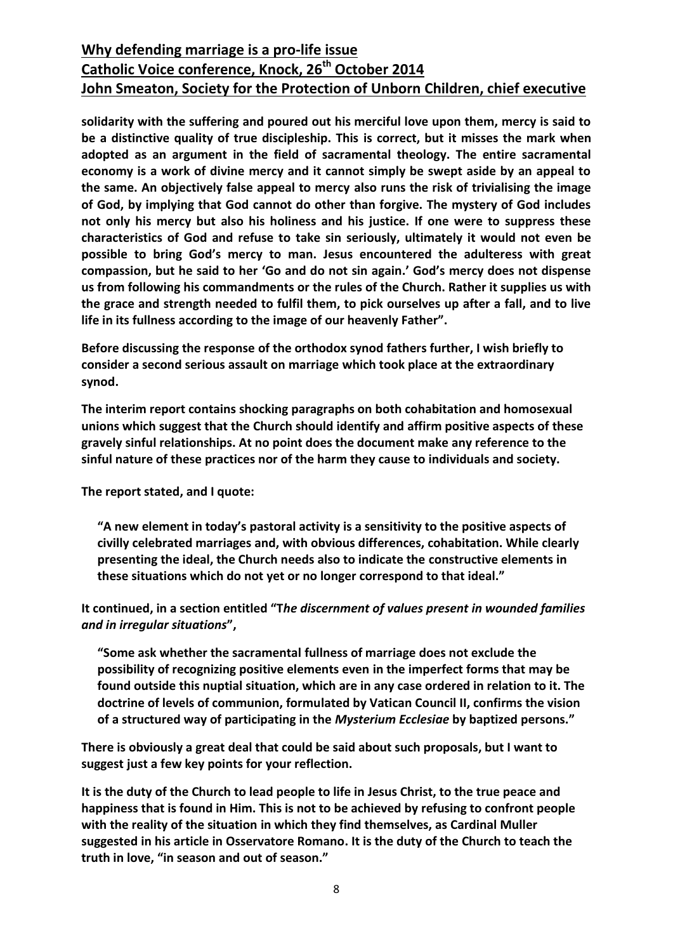**solidarity with the suffering and poured out his merciful love upon them, mercy is said to be a distinctive quality of true discipleship. This is correct, but it misses the mark when adopted as an argument in the field of sacramental theology. The entire sacramental economy is a work of divine mercy and it cannot simply be swept aside by an appeal to the same. An objectively false appeal to mercy also runs the risk of trivialising the image of God, by implying that God cannot do other than forgive. The mystery of God includes not only his mercy but also his holiness and his justice. If one were to suppress these characteristics of God and refuse to take sin seriously, ultimately it would not even be possible to bring God's mercy to man. Jesus encountered the adulteress with great compassion, but he said to her 'Go and do not sin again.' God's mercy does not dispense us from following his commandments or the rules of the Church. Rather it supplies us with the grace and strength needed to fulfil them, to pick ourselves up after a fall, and to live life in its fullness according to the image of our heavenly Father".**

**Before discussing the response of the orthodox synod fathers further, I wish briefly to consider a second serious assault on marriage which took place at the extraordinary synod.**

**The interim report contains shocking paragraphs on both cohabitation and homosexual unions which suggest that the Church should identify and affirm positive aspects of these gravely sinful relationships. At no point does the document make any reference to the sinful nature of these practices nor of the harm they cause to individuals and society.**

**The report stated, and I quote:**

**"A new element in today's pastoral activity is a sensitivity to the positive aspects of civilly celebrated marriages and, with obvious differences, cohabitation. While clearly presenting the ideal, the Church needs also to indicate the constructive elements in these situations which do not yet or no longer correspond to that ideal."**

**It continued, in a section entitled "T***he discernment of values present in wounded families and in irregular situations***",**

**"Some ask whether the sacramental fullness of marriage does not exclude the possibility of recognizing positive elements even in the imperfect forms that may be found outside this nuptial situation, which are in any case ordered in relation to it. The doctrine of levels of communion, formulated by Vatican Council II, confirms the vision of a structured way of participating in the** *Mysterium Ecclesiae* **by baptized persons."**

**There is obviously a great deal that could be said about such proposals, but I want to suggest just a few key points for your reflection.**

**It is the duty of the Church to lead people to life in Jesus Christ, to the true peace and happiness that is found in Him. This is not to be achieved by refusing to confront people with the reality of the situation in which they find themselves, as Cardinal Muller suggested in his article in Osservatore Romano. It is the duty of the Church to teach the truth in love, "in season and out of season."**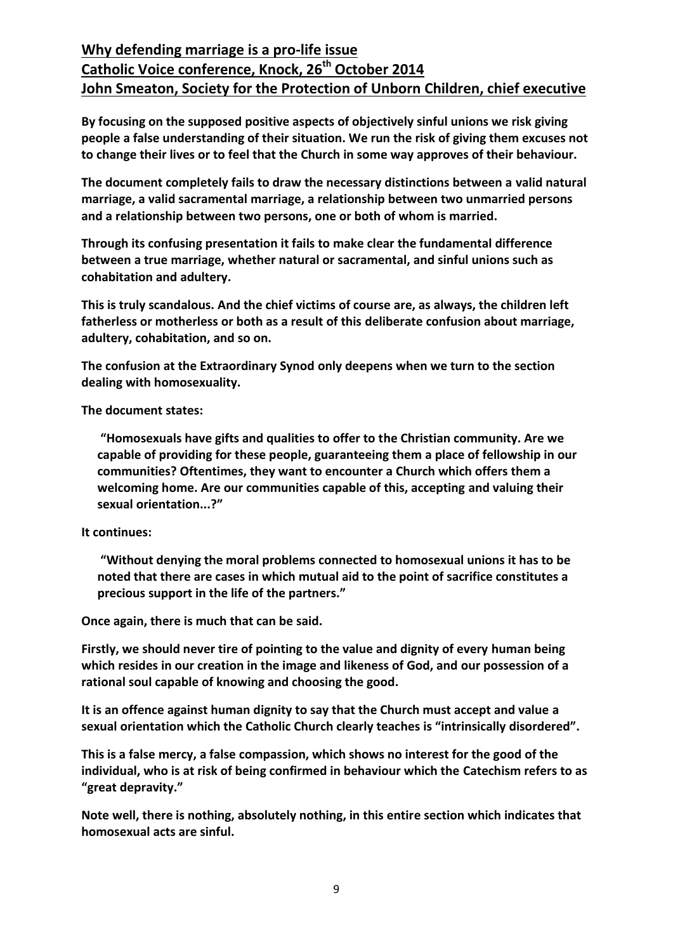**By focusing on the supposed positive aspects of objectively sinful unions we risk giving people a false understanding of their situation. We run the risk of giving them excuses not to change their lives or to feel that the Church in some way approves of their behaviour.**

**The document completely fails to draw the necessary distinctions between a valid natural marriage, a valid sacramental marriage, a relationship between two unmarried persons and a relationship between two persons, one or both of whom is married.**

**Through its confusing presentation it fails to make clear the fundamental difference between a true marriage, whether natural or sacramental, and sinful unions such as cohabitation and adultery.** 

**This is truly scandalous. And the chief victims of course are, as always, the children left fatherless or motherless or both as a result of this deliberate confusion about marriage, adultery, cohabitation, and so on.**

**The confusion at the Extraordinary Synod only deepens when we turn to the section dealing with homosexuality.**

**The document states:**

**"Homosexuals have gifts and qualities to offer to the Christian community. Are we capable of providing for these people, guaranteeing them a place of fellowship in our communities? Oftentimes, they want to encounter a Church which offers them a welcoming home. Are our communities capable of this, accepting and valuing their sexual orientation...?"**

#### **It continues:**

**"Without denying the moral problems connected to homosexual unions it has to be noted that there are cases in which mutual aid to the point of sacrifice constitutes a precious support in the life of the partners."**

**Once again, there is much that can be said.**

**Firstly, we should never tire of pointing to the value and dignity of every human being which resides in our creation in the image and likeness of God, and our possession of a rational soul capable of knowing and choosing the good.** 

**It is an offence against human dignity to say that the Church must accept and value a sexual orientation which the Catholic Church clearly teaches is "intrinsically disordered".**

**This is a false mercy, a false compassion, which shows no interest for the good of the individual, who is at risk of being confirmed in behaviour which the Catechism refers to as "great depravity."**

**Note well, there is nothing, absolutely nothing, in this entire section which indicates that homosexual acts are sinful.**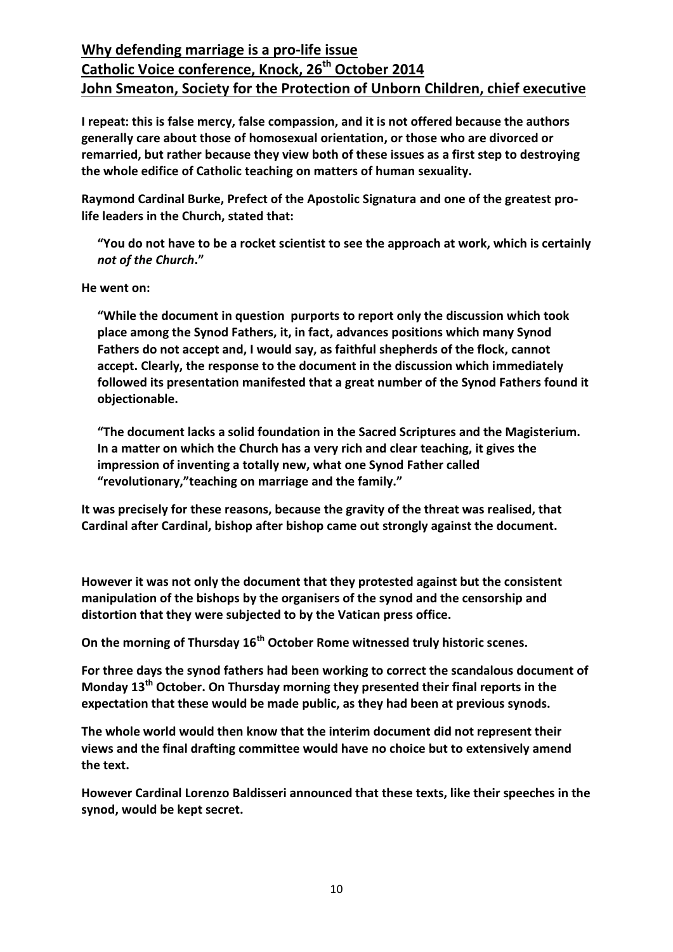**I repeat: this is false mercy, false compassion, and it is not offered because the authors generally care about those of homosexual orientation, or those who are divorced or remarried, but rather because they view both of these issues as a first step to destroying the whole edifice of Catholic teaching on matters of human sexuality.**

**Raymond Cardinal Burke, Prefect of the Apostolic Signatura and one of the greatest prolife leaders in the Church, stated that:**

**"You do not have to be a rocket scientist to see the approach at work, which is certainly**  *not of the Church***."**

**He went on:**

**"While the document in question purports to report only the discussion which took place among the Synod Fathers, it, in fact, advances positions which many Synod Fathers do not accept and, I would say, as faithful shepherds of the flock, cannot accept. Clearly, the response to the document in the discussion which immediately followed its presentation manifested that a great number of the Synod Fathers found it objectionable.**

**"The document lacks a solid foundation in the Sacred Scriptures and the Magisterium. In a matter on which the Church has a very rich and clear teaching, it gives the impression of inventing a totally new, what one Synod Father called "revolutionary,"teaching on marriage and the family."**

**It was precisely for these reasons, because the gravity of the threat was realised, that Cardinal after Cardinal, bishop after bishop came out strongly against the document.** 

**However it was not only the document that they protested against but the consistent manipulation of the bishops by the organisers of the synod and the censorship and distortion that they were subjected to by the Vatican press office.**

**On the morning of Thursday 16th October Rome witnessed truly historic scenes.**

**For three days the synod fathers had been working to correct the scandalous document of Monday 13th October. On Thursday morning they presented their final reports in the expectation that these would be made public, as they had been at previous synods.** 

**The whole world would then know that the interim document did not represent their views and the final drafting committee would have no choice but to extensively amend the text.** 

**However Cardinal Lorenzo Baldisseri announced that these texts, like their speeches in the synod, would be kept secret.**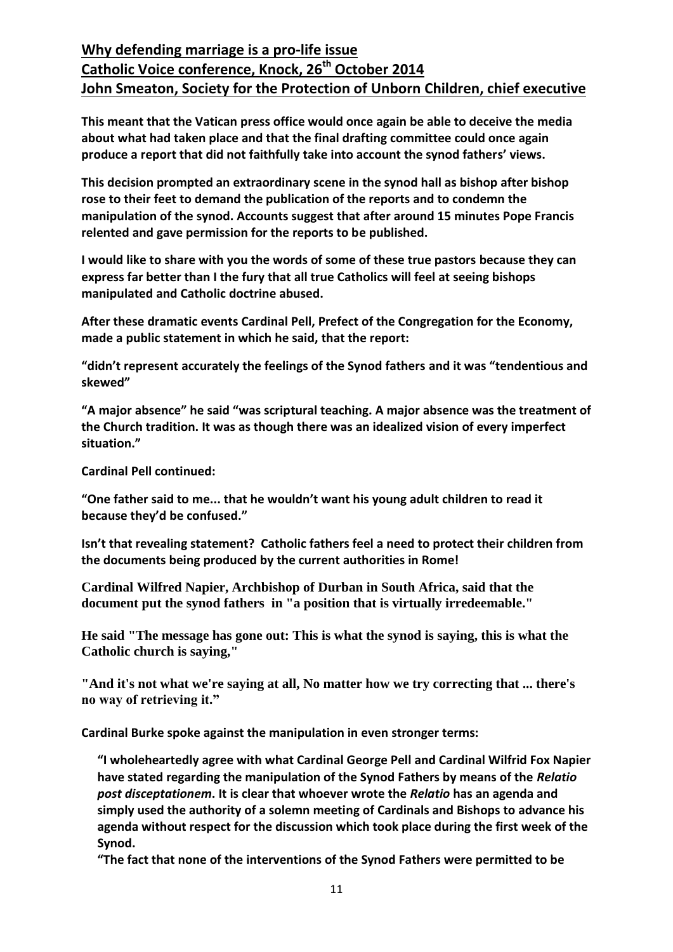**This meant that the Vatican press office would once again be able to deceive the media about what had taken place and that the final drafting committee could once again produce a report that did not faithfully take into account the synod fathers' views.**

**This decision prompted an extraordinary scene in the synod hall as bishop after bishop rose to their feet to demand the publication of the reports and to condemn the manipulation of the synod. Accounts suggest that after around 15 minutes Pope Francis relented and gave permission for the reports to be published.**

**I would like to share with you the words of some of these true pastors because they can express far better than I the fury that all true Catholics will feel at seeing bishops manipulated and Catholic doctrine abused.**

**After these dramatic events Cardinal Pell, Prefect of the Congregation for the Economy, made a public statement in which he said, that the report:**

**"didn't represent accurately the feelings of the Synod fathers and it was "tendentious and skewed"**

**"A major absence" he said "was scriptural teaching. A major absence was the treatment of the Church tradition. It was as though there was an idealized vision of every imperfect situation."**

**Cardinal Pell continued:**

**"One father said to me... that he wouldn't want his young adult children to read it because they'd be confused."** 

**Isn't that revealing statement? Catholic fathers feel a need to protect their children from the documents being produced by the current authorities in Rome!**

**Cardinal Wilfred Napier, Archbishop of Durban in South Africa, said that the document put the synod fathers in "a position that is virtually irredeemable."**

**He said "The message has gone out: This is what the synod is saying, this is what the Catholic church is saying,"**

**"And it's not what we're saying at all, No matter how we try correcting that ... there's no way of retrieving it."**

**Cardinal Burke spoke against the manipulation in even stronger terms:**

**"I wholeheartedly agree with what Cardinal George Pell and Cardinal Wilfrid Fox Napier have stated regarding the manipulation of the Synod Fathers by means of the** *Relatio post disceptationem***. It is clear that whoever wrote the** *Relatio* **has an agenda and simply used the authority of a solemn meeting of Cardinals and Bishops to advance his agenda without respect for the discussion which took place during the first week of the Synod.**

**"The fact that none of the interventions of the Synod Fathers were permitted to be**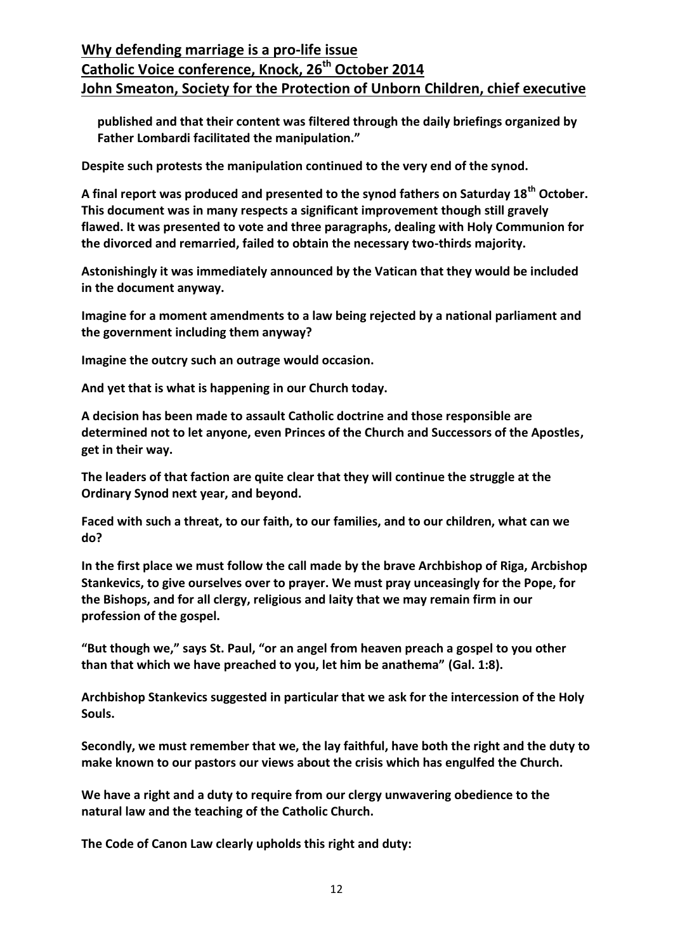**published and that their content was filtered through the daily briefings organized by Father Lombardi facilitated the manipulation."**

**Despite such protests the manipulation continued to the very end of the synod.**

**A final report was produced and presented to the synod fathers on Saturday 18th October. This document was in many respects a significant improvement though still gravely flawed. It was presented to vote and three paragraphs, dealing with Holy Communion for the divorced and remarried, failed to obtain the necessary two-thirds majority.**

**Astonishingly it was immediately announced by the Vatican that they would be included in the document anyway.**

**Imagine for a moment amendments to a law being rejected by a national parliament and the government including them anyway?**

**Imagine the outcry such an outrage would occasion.**

**And yet that is what is happening in our Church today.** 

**A decision has been made to assault Catholic doctrine and those responsible are determined not to let anyone, even Princes of the Church and Successors of the Apostles, get in their way.**

**The leaders of that faction are quite clear that they will continue the struggle at the Ordinary Synod next year, and beyond.**

**Faced with such a threat, to our faith, to our families, and to our children, what can we do?**

**In the first place we must follow the call made by the brave Archbishop of Riga, Arcbishop Stankevics, to give ourselves over to prayer. We must pray unceasingly for the Pope, for the Bishops, and for all clergy, religious and laity that we may remain firm in our profession of the gospel.**

**"But though we," says St. Paul, "or an angel from heaven preach a gospel to you other than that which we have preached to you, let him be anathema" (Gal. 1:8).**

**Archbishop Stankevics suggested in particular that we ask for the intercession of the Holy Souls.**

**Secondly, we must remember that we, the lay faithful, have both the right and the duty to make known to our pastors our views about the crisis which has engulfed the Church.** 

**We have a right and a duty to require from our clergy unwavering obedience to the natural law and the teaching of the Catholic Church.**

**The Code of Canon Law clearly upholds this right and duty:**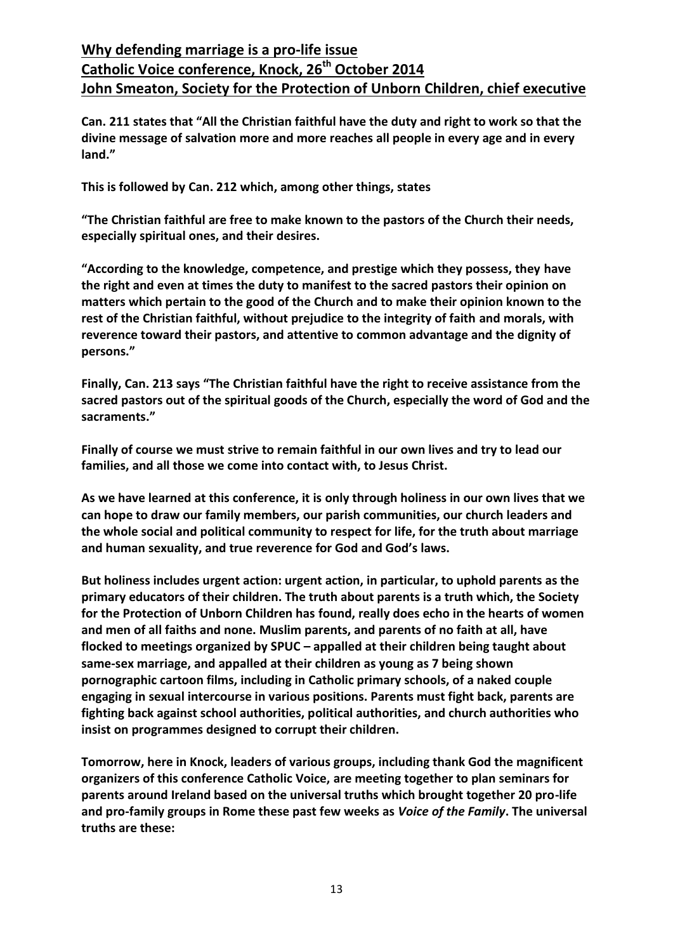**Can. 211 states that "All the Christian faithful have the duty and right to work so that the divine message of salvation more and more reaches all people in every age and in every land."**

**This is followed by Can. 212 which, among other things, states**

**"The Christian faithful are free to make known to the pastors of the Church their needs, especially spiritual ones, and their desires.**

**"According to the knowledge, competence, and prestige which they possess, they have the right and even at times the duty to manifest to the sacred pastors their opinion on matters which pertain to the good of the Church and to make their opinion known to the rest of the Christian faithful, without prejudice to the integrity of faith and morals, with reverence toward their pastors, and attentive to common advantage and the dignity of persons."**

**Finally, Can. 213 says "The Christian faithful have the right to receive assistance from the sacred pastors out of the spiritual goods of the Church, especially the word of God and the sacraments."**

**Finally of course we must strive to remain faithful in our own lives and try to lead our families, and all those we come into contact with, to Jesus Christ.**

**As we have learned at this conference, it is only through holiness in our own lives that we can hope to draw our family members, our parish communities, our church leaders and the whole social and political community to respect for life, for the truth about marriage and human sexuality, and true reverence for God and God's laws.**

**But holiness includes urgent action: urgent action, in particular, to uphold parents as the primary educators of their children. The truth about parents is a truth which, the Society for the Protection of Unborn Children has found, really does echo in the hearts of women and men of all faiths and none. Muslim parents, and parents of no faith at all, have flocked to meetings organized by SPUC – appalled at their children being taught about same-sex marriage, and appalled at their children as young as 7 being shown pornographic cartoon films, including in Catholic primary schools, of a naked couple engaging in sexual intercourse in various positions. Parents must fight back, parents are fighting back against school authorities, political authorities, and church authorities who insist on programmes designed to corrupt their children.**

**Tomorrow, here in Knock, leaders of various groups, including thank God the magnificent organizers of this conference Catholic Voice, are meeting together to plan seminars for parents around Ireland based on the universal truths which brought together 20 pro-life and pro-family groups in Rome these past few weeks as** *Voice of the Family***. The universal truths are these:**